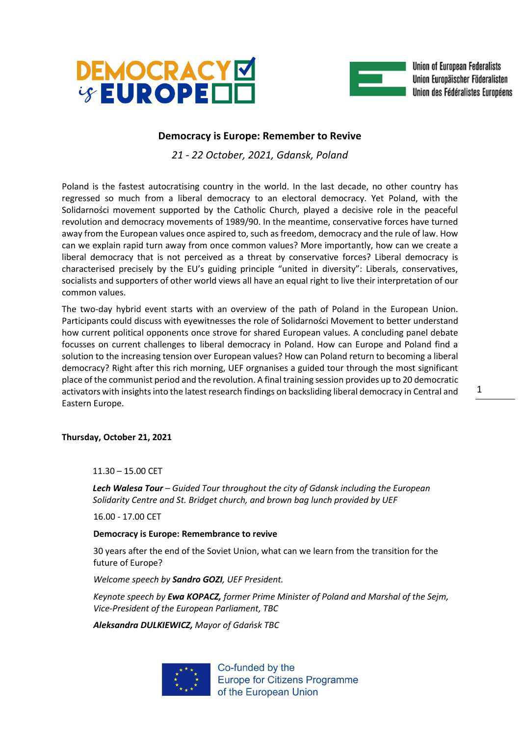



Union of European Federalists Union Europäischer Föderalisten Union des Fédéralistes Européens

## **Democracy is Europe: Remember to Revive**

*21 - 22 October, 2021, Gdansk, Poland*

Poland is the fastest autocratising country in the world. In the last decade, no other country has regressed so much from a liberal democracy to an electoral democracy. Yet Poland, with the Solidarności movement supported by the Catholic Church, played a decisive role in the peaceful revolution and democracy movements of 1989/90. In the meantime, conservative forces have turned away from the European values once aspired to, such as freedom, democracy and the rule of law. How can we explain rapid turn away from once common values? More importantly, how can we create a liberal democracy that is not perceived as a threat by conservative forces? Liberal democracy is characterised precisely by the EU's guiding principle "united in diversity": Liberals, conservatives, socialists and supporters of other world views all have an equal right to live their interpretation of our common values.

The two-day hybrid event starts with an overview of the path of Poland in the European Union. Participants could discuss with eyewitnesses the role of Solidarności Movement to better understand how current political opponents once strove for shared European values. A concluding panel debate focusses on current challenges to liberal democracy in Poland. How can Europe and Poland find a solution to the increasing tension over European values? How can Poland return to becoming a liberal democracy? Right after this rich morning, UEF orgnanises a guided tour through the most significant place of the communist period and the revolution. A final training session provides up to 20 democratic activators with insights into the latest research findings on backsliding liberal democracy in Central and Eastern Europe.

**Thursday, October 21, 2021**

11.30 – 15.00 CET

*Lech Walesa Tour – Guided Tour throughout the city of Gdansk including the European Solidarity Centre and St. Bridget church, and brown bag lunch provided by UEF*

16.00 - 17.00 CET

**Democracy is Europe: Remembrance to revive**

30 years after the end of the Soviet Union, what can we learn from the transition for the future of Europe?

*Welcome speech by Sandro GOZI, UEF President.*

*Keynote speech by Ewa KOPACZ, former Prime Minister of Poland and Marshal of the Sejm, Vice-President of the European Parliament, TBC*

*Aleksandra DULKIEWICZ, Mayor of Gdańsk TBC*



Co-funded by the **Europe for Citizens Programme** of the European Union

1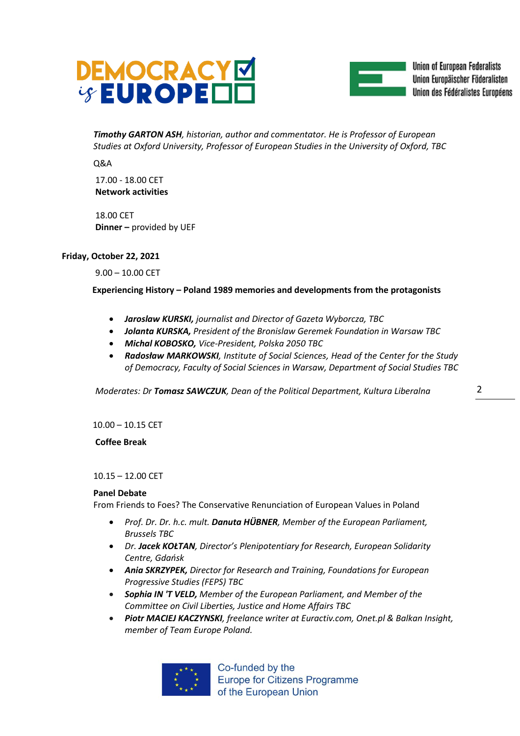



Union of European Federalists Union Europäischer Föderalisten Union des Fédéralistes Européens

*Timothy GARTON ASH, historian, author and commentator. He is Professor of European Studies at Oxford University, Professor of European Studies in the University of Oxford, TBC*

Q&A

17.00 - 18.00 CET **Network activities**

18.00 CET **Dinner –** provided by UEF

## **Friday, October 22, 2021**

9.00 – 10.00 CET

 **Experiencing History – Poland 1989 memories and developments from the protagonists**

- *Jaroslaw KURSKI, journalist and Director of Gazeta Wyborcza, TBC*
- *Jolanta KURSKA, President of the Bronislaw Geremek Foundation in Warsaw TBC*
- *Michal KOBOSKO, Vice-President, Polska 2050 TBC*
- *Radosław MARKOWSKI, Institute of Social Sciences, Head of the Center for the Study of Democracy, Faculty of Social Sciences in Warsaw, Department of Social Studies TBC*

*Moderates: Dr Tomasz SAWCZUK, Dean of the Political Department, Kultura Liberalna* 

10.00 – 10.15 CET

**Coffee Break**

10.15 – 12.00 CET

## **Panel Debate**

From Friends to Foes? The Conservative Renunciation of European Values in Poland

- *Prof. Dr. Dr. h.c. mult. Danuta HÜBNER, Member of the European Parliament, Brussels TBC*
- *Dr. Jacek KOŁTAN, Director's Plenipotentiary for Research, European Solidarity Centre, Gdańsk*
- *Ania SKRZYPEK, Director for Research and Training, Foundations for European Progressive Studies (FEPS) TBC*
- *Sophia IN 'T VELD, Member of the European Parliament, and Member of the Committee on Civil Liberties, Justice and Home Affairs TBC*
- *Piotr MACIEJ KACZYNSKI, freelance writer at Euractiv.com, Onet.pl & Balkan Insight, member of Team Europe Poland.*



Co-funded by the **Europe for Citizens Programme** of the European Union